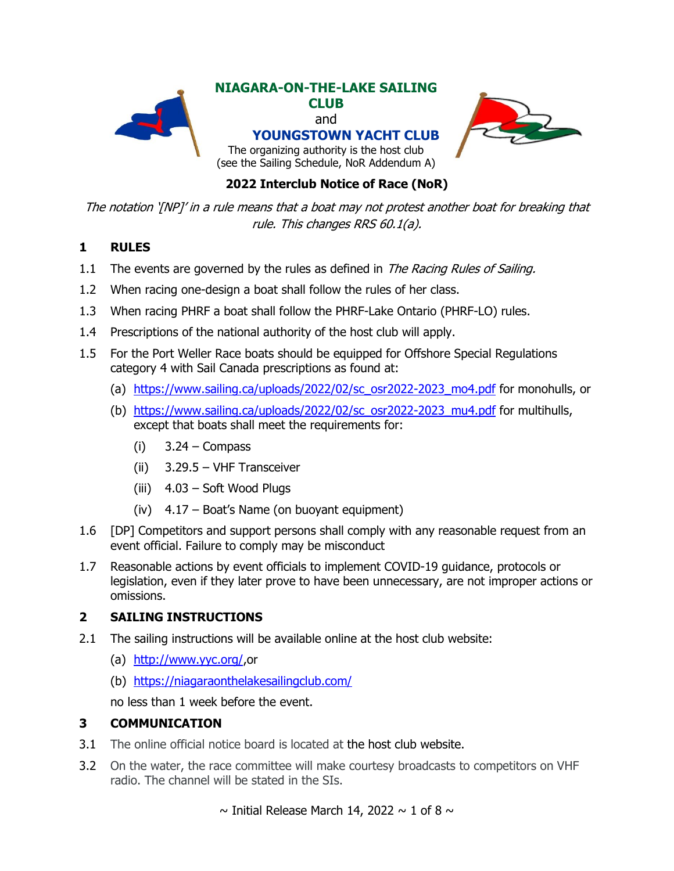

## **2022 Interclub Notice of Race (NoR)**

The notation '[NP]' in a rule means that a boat may not protest another boat for breaking that rule. This changes RRS 60.1(a).

## **1 RULES**

- 1.1 The events are governed by the rules as defined in *The Racing Rules of Sailing.*
- 1.2 When racing one-design a boat shall follow the rules of her class.
- 1.3 When racing PHRF a boat shall follow the PHRF-Lake Ontario (PHRF-LO) rules.
- 1.4 Prescriptions of the national authority of the host club will apply.
- 1.5 For the Port Weller Race boats should be equipped for Offshore Special Regulations category 4 with Sail Canada prescriptions as found at:
	- (a) [https://www.sailing.ca/uploads/2022/02/sc\\_osr2022-2023\\_mo4.pdf](https://www.sailing.ca/uploads/2022/02/sc_osr2022-2023_mo4.pdf) for monohulls, or
	- (b) [https://www.sailing.ca/uploads/2022/02/sc\\_osr2022-2023\\_mu4.pdf](https://www.sailing.ca/uploads/2022/02/sc_osr2022-2023_mu4.pdf) for multihulls, except that boats shall meet the requirements for:
		- $(i)$  3.24 Compass
		- (ii) 3.29.5 VHF Transceiver
		- (iii) 4.03 Soft Wood Plugs
		- (iv) 4.17 Boat's Name (on buoyant equipment)
- 1.6 [DP] Competitors and support persons shall comply with any reasonable request from an event official. Failure to comply may be misconduct
- 1.7 Reasonable actions by event officials to implement COVID-19 guidance, protocols or legislation, even if they later prove to have been unnecessary, are not improper actions or omissions.

### **2 SAILING INSTRUCTIONS**

- 2.1 The sailing instructions will be available online at the host club website:
	- (a) [http://www.yyc.org/,](http://www.yyc.org/)or
	- (b) <https://niagaraonthelakesailingclub.com/>

no less than 1 week before the event.

### **3 COMMUNICATION**

- 3.1 The online official notice board is located at the host club website.
- 3.2 On the water, the race committee will make courtesy broadcasts to competitors on VHF radio. The channel will be stated in the SIs.

 $\sim$  Initial Release March 14, 2022  $\sim$  1 of 8  $\sim$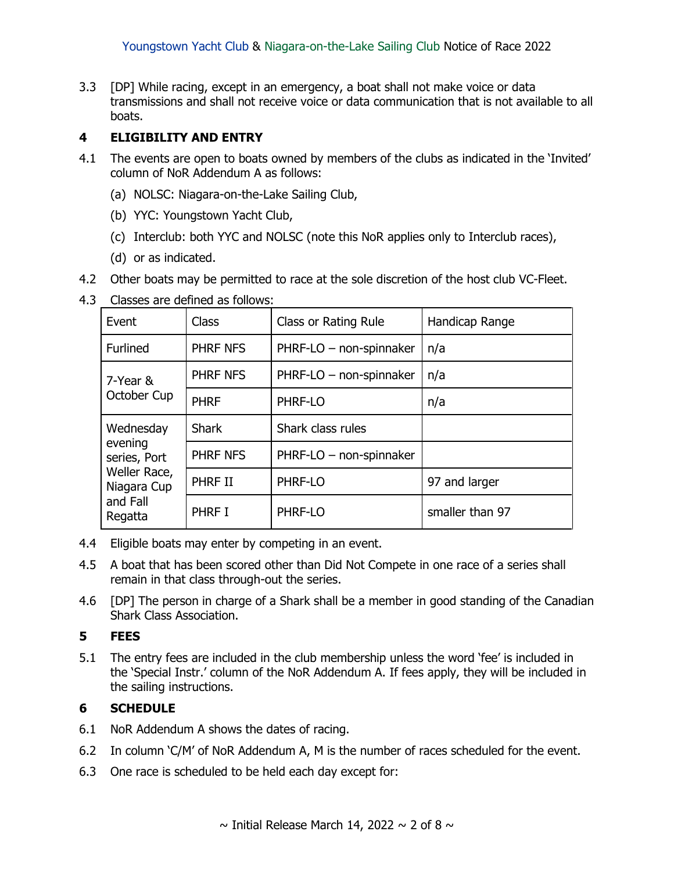3.3 [DP] While racing, except in an emergency, a boat shall not make voice or data transmissions and shall not receive voice or data communication that is not available to all boats.

### **4 ELIGIBILITY AND ENTRY**

- 4.1 The events are open to boats owned by members of the clubs as indicated in the 'Invited' column of NoR Addendum A as follows:
	- (a) NOLSC: Niagara-on-the-Lake Sailing Club,
	- (b) YYC: Youngstown Yacht Club,
	- (c) Interclub: both YYC and NOLSC (note this NoR applies only to Interclub races),
	- (d) or as indicated.
- 4.2 Other boats may be permitted to race at the sole discretion of the host club VC-Fleet.

|  |  | 4.3 Classes are defined as follows: |
|--|--|-------------------------------------|
|--|--|-------------------------------------|

| Event                                                                                      | <b>Class</b>    | Class or Rating Rule    | Handicap Range  |
|--------------------------------------------------------------------------------------------|-----------------|-------------------------|-----------------|
| Furlined                                                                                   | PHRF NFS        | PHRF-LO - non-spinnaker | n/a             |
| 7-Year &                                                                                   | PHRF NFS        | PHRF-LO - non-spinnaker | n/a             |
| October Cup                                                                                | <b>PHRF</b>     | PHRF-LO                 | n/a             |
| Wednesday<br>evening<br>series, Port<br>Weller Race,<br>Niagara Cup<br>and Fall<br>Regatta | <b>Shark</b>    | Shark class rules       |                 |
|                                                                                            | <b>PHRF NFS</b> | PHRF-LO - non-spinnaker |                 |
|                                                                                            | PHRF II         | PHRF-LO                 | 97 and larger   |
|                                                                                            | PHRF I          | PHRF-LO                 | smaller than 97 |

- 4.4 Eligible boats may enter by competing in an event.
- 4.5 A boat that has been scored other than Did Not Compete in one race of a series shall remain in that class through-out the series.
- 4.6 [DP] The person in charge of a Shark shall be a member in good standing of the Canadian Shark Class Association.

### **5 FEES**

5.1 The entry fees are included in the club membership unless the word 'fee' is included in the 'Special Instr.' column of the NoR Addendum A. If fees apply, they will be included in the sailing instructions.

### **6 SCHEDULE**

- 6.1 NoR Addendum A shows the dates of racing.
- 6.2 In column 'C/M' of NoR Addendum A, M is the number of races scheduled for the event.
- 6.3 One race is scheduled to be held each day except for: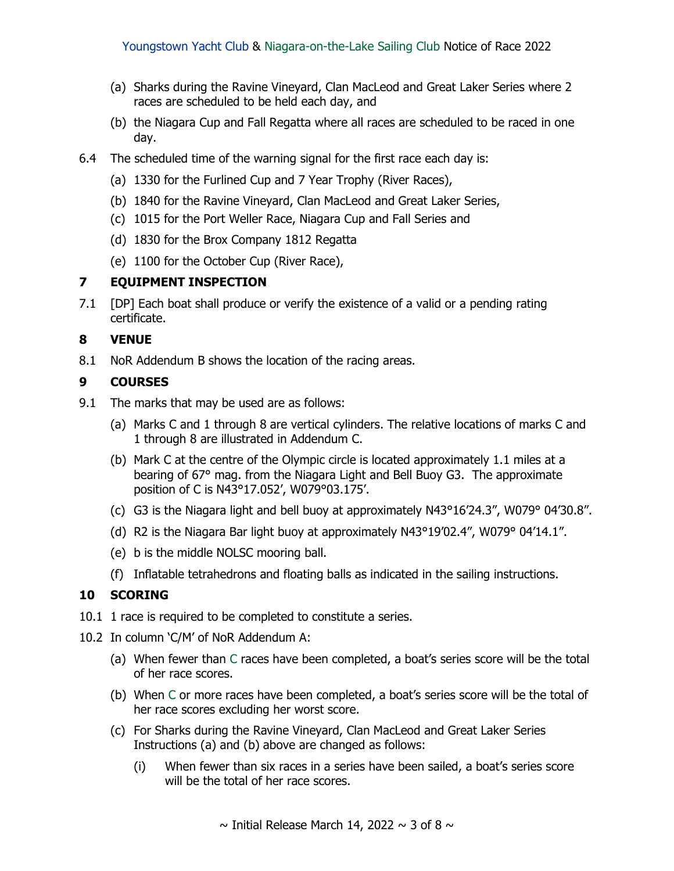- (a) Sharks during the Ravine Vineyard, Clan MacLeod and Great Laker Series where 2 races are scheduled to be held each day, and
- (b) the Niagara Cup and Fall Regatta where all races are scheduled to be raced in one day.
- 6.4 The scheduled time of the warning signal for the first race each day is:
	- (a) 1330 for the Furlined Cup and 7 Year Trophy (River Races),
	- (b) 1840 for the Ravine Vineyard, Clan MacLeod and Great Laker Series,
	- (c) 1015 for the Port Weller Race, Niagara Cup and Fall Series and
	- (d) 1830 for the Brox Company 1812 Regatta
	- (e) 1100 for the October Cup (River Race),

### **7 EQUIPMENT INSPECTION**

7.1 [DP] Each boat shall produce or verify the existence of a valid or a pending rating certificate.

### **8 VENUE**

8.1 NoR Addendum B shows the location of the racing areas.

### **9 COURSES**

- 9.1 The marks that may be used are as follows:
	- (a) Marks C and 1 through 8 are vertical cylinders. The relative locations of marks C and 1 through 8 are illustrated in Addendum C.
	- (b) Mark C at the centre of the Olympic circle is located approximately 1.1 miles at a bearing of 67° mag. from the Niagara Light and Bell Buoy G3. The approximate position of C is N43°17.052', W079°03.175'.
	- (c) G3 is the Niagara light and bell buoy at approximately N43°16'24.3", W079° 04'30.8".
	- (d) R2 is the Niagara Bar light buoy at approximately N43°19'02.4", W079° 04'14.1".
	- (e) b is the middle NOLSC mooring ball.
	- (f) Inflatable tetrahedrons and floating balls as indicated in the sailing instructions.

### **10 SCORING**

- 10.1 1 race is required to be completed to constitute a series.
- 10.2 In column 'C/M' of NoR Addendum A:
	- (a) When fewer than C races have been completed, a boat's series score will be the total of her race scores.
	- (b) When C or more races have been completed, a boat's series score will be the total of her race scores excluding her worst score.
	- (c) For Sharks during the Ravine Vineyard, Clan MacLeod and Great Laker Series Instructions (a) and (b) above are changed as follows:
		- (i) When fewer than six races in a series have been sailed, a boat's series score will be the total of her race scores.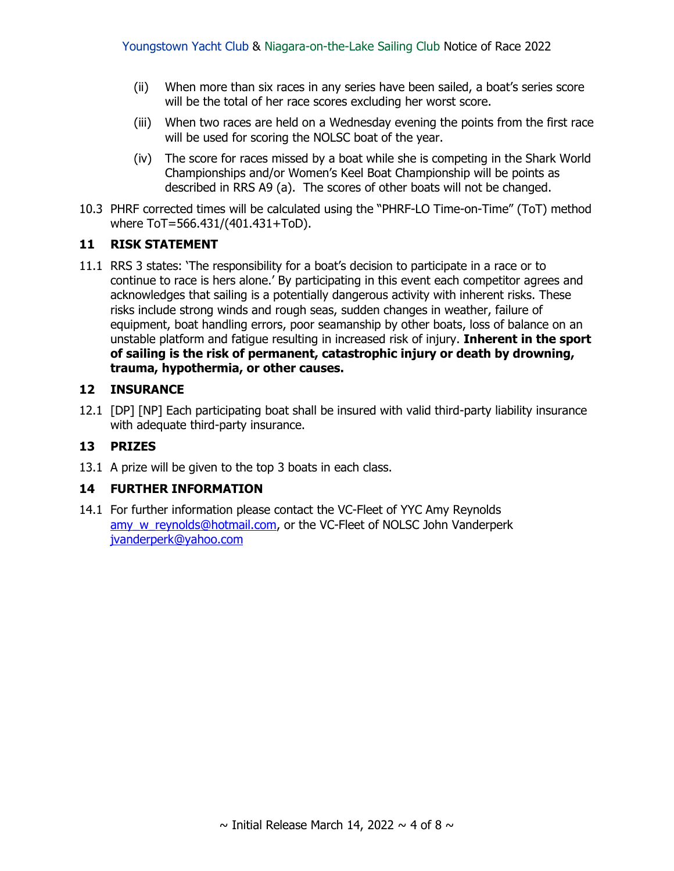- (ii) When more than six races in any series have been sailed, a boat's series score will be the total of her race scores excluding her worst score.
- (iii) When two races are held on a Wednesday evening the points from the first race will be used for scoring the NOLSC boat of the year.
- (iv) The score for races missed by a boat while she is competing in the Shark World Championships and/or Women's Keel Boat Championship will be points as described in RRS A9 (a). The scores of other boats will not be changed.
- 10.3 PHRF corrected times will be calculated using the "PHRF-LO Time-on-Time" (ToT) method where ToT=566.431/(401.431+ToD).

#### **11 RISK STATEMENT**

11.1 RRS 3 states: 'The responsibility for a boat's decision to participate in a race or to continue to race is hers alone.' By participating in this event each competitor agrees and acknowledges that sailing is a potentially dangerous activity with inherent risks. These risks include strong winds and rough seas, sudden changes in weather, failure of equipment, boat handling errors, poor seamanship by other boats, loss of balance on an unstable platform and fatigue resulting in increased risk of injury. **Inherent in the sport of sailing is the risk of permanent, catastrophic injury or death by drowning, trauma, hypothermia, or other causes.**

#### **12 INSURANCE**

12.1 [DP] [NP] Each participating boat shall be insured with valid third-party liability insurance with adequate third-party insurance.

### **13 PRIZES**

13.1 A prize will be given to the top 3 boats in each class.

#### **14 FURTHER INFORMATION**

14.1 For further information please contact the VC-Fleet of YYC Amy Reynolds amy w reynolds@hotmail.com, or the VC-Fleet of NOLSC John Vanderperk [jvanderperk@yahoo.com](mailto:jvanderperk@yahoo.com)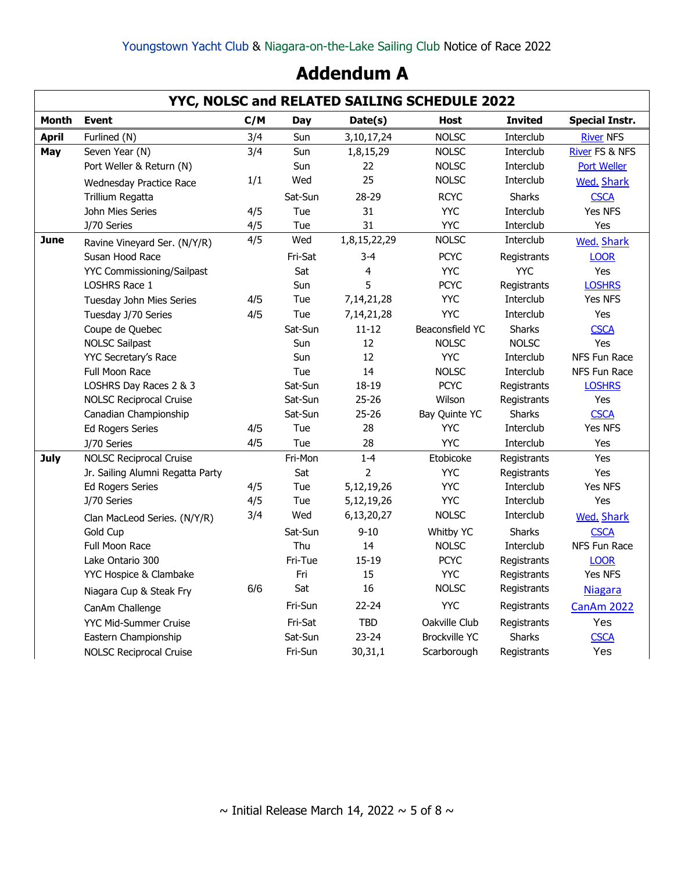# **Addendum A**

|              | YYC, NOLSC and RELATED SAILING SCHEDULE 2022 |     |            |                |                      |                |                           |  |
|--------------|----------------------------------------------|-----|------------|----------------|----------------------|----------------|---------------------------|--|
| <b>Month</b> | <b>Event</b>                                 | C/M | Day        | Date(s)        | <b>Host</b>          | <b>Invited</b> | <b>Special Instr.</b>     |  |
| <b>April</b> | Furlined (N)                                 | 3/4 | Sun        | 3,10,17,24     | <b>NOLSC</b>         | Interclub      | <b>River NFS</b>          |  |
| May          | Seven Year (N)                               | 3/4 | Sun        | 1,8,15,29      | <b>NOLSC</b>         | Interclub      | <b>River FS &amp; NFS</b> |  |
|              | Port Weller & Return (N)                     |     | <b>Sun</b> | 22             | <b>NOLSC</b>         | Interclub      | <b>Port Weller</b>        |  |
|              | <b>Wednesday Practice Race</b>               | 1/1 | Wed        | 25             | <b>NOLSC</b>         | Interclub      | <b>Wed. Shark</b>         |  |
|              | Trillium Regatta                             |     | Sat-Sun    | 28-29          | <b>RCYC</b>          | <b>Sharks</b>  | <b>CSCA</b>               |  |
|              | John Mies Series                             | 4/5 | Tue        | 31             | <b>YYC</b>           | Interclub      | Yes NFS                   |  |
|              | J/70 Series                                  | 4/5 | Tue        | 31             | <b>YYC</b>           | Interclub      | Yes                       |  |
| <b>June</b>  | Ravine Vineyard Ser. (N/Y/R)                 | 4/5 | Wed        | 1,8,15,22,29   | <b>NOLSC</b>         | Interclub      | <b>Wed. Shark</b>         |  |
|              | Susan Hood Race                              |     | Fri-Sat    | $3 - 4$        | <b>PCYC</b>          | Registrants    | <b>LOOR</b>               |  |
|              | <b>YYC Commissioning/Sailpast</b>            |     | Sat        | $\overline{4}$ | <b>YYC</b>           | <b>YYC</b>     | Yes                       |  |
|              | LOSHRS Race 1                                |     | Sun        | 5              | <b>PCYC</b>          | Registrants    | <b>LOSHRS</b>             |  |
|              | Tuesday John Mies Series                     | 4/5 | Tue        | 7,14,21,28     | <b>YYC</b>           | Interclub      | Yes NFS                   |  |
|              | Tuesday J/70 Series                          | 4/5 | Tue        | 7,14,21,28     | <b>YYC</b>           | Interclub      | Yes                       |  |
|              | Coupe de Quebec                              |     | Sat-Sun    | $11 - 12$      | Beaconsfield YC      | Sharks         | <b>CSCA</b>               |  |
|              | <b>NOLSC Sailpast</b>                        |     | Sun        | 12             | <b>NOLSC</b>         | <b>NOLSC</b>   | Yes                       |  |
|              | YYC Secretary's Race                         |     | Sun        | 12             | <b>YYC</b>           | Interclub      | NFS Fun Race              |  |
|              | <b>Full Moon Race</b>                        |     | Tue        | 14             | <b>NOLSC</b>         | Interclub      | NFS Fun Race              |  |
|              | LOSHRS Day Races 2 & 3                       |     | Sat-Sun    | 18-19          | <b>PCYC</b>          | Registrants    | <b>LOSHRS</b>             |  |
|              | <b>NOLSC Reciprocal Cruise</b>               |     | Sat-Sun    | $25 - 26$      | Wilson               | Registrants    | Yes                       |  |
|              | Canadian Championship                        |     | Sat-Sun    | $25 - 26$      | Bay Quinte YC        | <b>Sharks</b>  | <b>CSCA</b>               |  |
|              | <b>Ed Rogers Series</b>                      | 4/5 | Tue        | 28             | <b>YYC</b>           | Interclub      | Yes NFS                   |  |
|              | J/70 Series                                  | 4/5 | Tue        | 28             | <b>YYC</b>           | Interclub      | Yes                       |  |
| <b>July</b>  | <b>NOLSC Reciprocal Cruise</b>               |     | Fri-Mon    | $1 - 4$        | Etobicoke            | Registrants    | Yes                       |  |
|              | Jr. Sailing Alumni Regatta Party             |     | Sat        | $\overline{2}$ | <b>YYC</b>           | Registrants    | Yes                       |  |
|              | <b>Ed Rogers Series</b>                      | 4/5 | Tue        | 5,12,19,26     | <b>YYC</b>           | Interclub      | Yes NFS                   |  |
|              | J/70 Series                                  | 4/5 | Tue        | 5,12,19,26     | <b>YYC</b>           | Interclub      | Yes                       |  |
|              | Clan MacLeod Series. (N/Y/R)                 | 3/4 | Wed        | 6,13,20,27     | <b>NOLSC</b>         | Interclub      | <b>Wed. Shark</b>         |  |
|              | Gold Cup                                     |     | Sat-Sun    | $9 - 10$       | Whitby YC            | <b>Sharks</b>  | <b>CSCA</b>               |  |
|              | <b>Full Moon Race</b>                        |     | Thu        | 14             | <b>NOLSC</b>         | Interclub      | NFS Fun Race              |  |
|              | Lake Ontario 300                             |     | Fri-Tue    | $15-19$        | <b>PCYC</b>          | Registrants    | <b>LOOR</b>               |  |
|              | YYC Hospice & Clambake                       |     | Fri        | 15             | <b>YYC</b>           | Registrants    | Yes NFS                   |  |
|              | Niagara Cup & Steak Fry                      | 6/6 | Sat        | 16             | <b>NOLSC</b>         | Registrants    | <b>Niagara</b>            |  |
|              | CanAm Challenge                              |     | Fri-Sun    | $22 - 24$      | <b>YYC</b>           | Registrants    | CanAm 2022                |  |
|              | YYC Mid-Summer Cruise                        |     | Fri-Sat    | <b>TBD</b>     | Oakville Club        | Registrants    | Yes                       |  |
|              | Eastern Championship                         |     | Sat-Sun    | $23 - 24$      | <b>Brockville YC</b> | Sharks         | <b>CSCA</b>               |  |
|              | <b>NOLSC Reciprocal Cruise</b>               |     | Fri-Sun    | 30,31,1        | Scarborough          | Registrants    | Yes                       |  |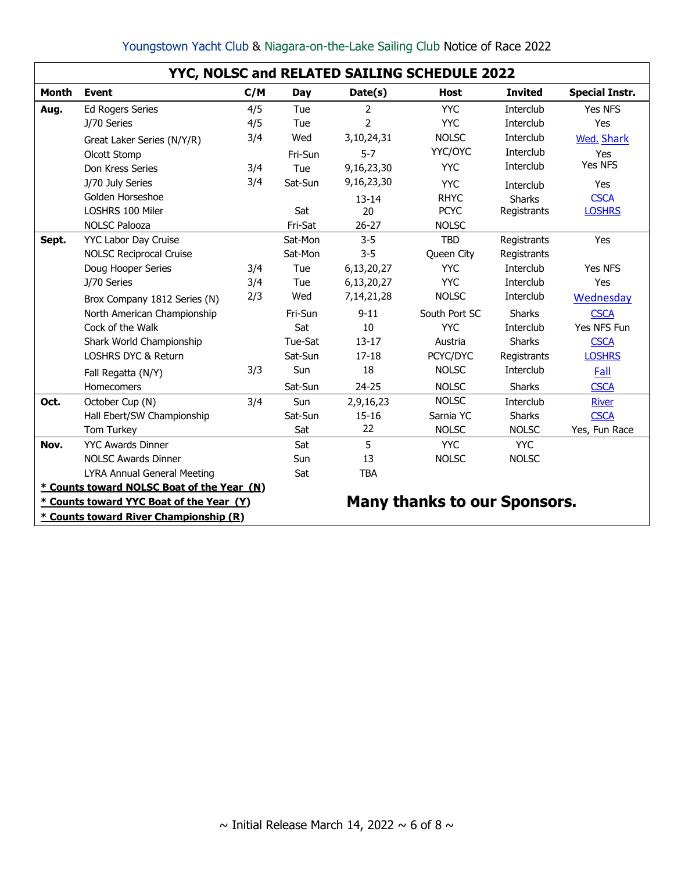| Youngstown Yacht Club & Niagara-on-the-Lake Sailing Club Notice of Race 2022 |  |  |  |
|------------------------------------------------------------------------------|--|--|--|
|                                                                              |  |  |  |

|              | YYC, NOLSC and RELATED SAILING SCHEDULE 2022 |                                        |         |                |                                     |                |                       |  |
|--------------|----------------------------------------------|----------------------------------------|---------|----------------|-------------------------------------|----------------|-----------------------|--|
| <b>Month</b> | <b>Event</b>                                 | C/M                                    | Day     | Date(s)        | <b>Host</b>                         | <b>Invited</b> | <b>Special Instr.</b> |  |
| Aug.         | <b>Ed Rogers Series</b>                      | 4/5                                    | Tue     | 2              | <b>YYC</b>                          | Interclub      | Yes NFS               |  |
|              | J/70 Series                                  | 4/5                                    | Tue     | $\overline{2}$ | <b>YYC</b>                          | Interclub      | Yes                   |  |
|              | Great Laker Series (N/Y/R)                   | 3/4                                    | Wed     | 3,10,24,31     | <b>NOLSC</b>                        | Interclub      | <b>Wed. Shark</b>     |  |
|              | Olcott Stomp                                 |                                        | Fri-Sun | $5 - 7$        | YYC/OYC                             | Interclub      | Yes                   |  |
|              | Don Kress Series                             | 3/4                                    | Tue     | 9,16,23,30     | <b>YYC</b>                          | Interclub      | <b>Yes NFS</b>        |  |
|              | J/70 July Series                             | 3/4                                    | Sat-Sun | 9,16,23,30     | <b>YYC</b>                          | Interclub      | <b>Yes</b>            |  |
|              | Golden Horseshoe                             |                                        |         | $13 - 14$      | <b>RHYC</b>                         | <b>Sharks</b>  | <b>CSCA</b>           |  |
|              | LOSHRS 100 Miler                             |                                        | Sat     | 20             | <b>PCYC</b>                         | Registrants    | <b>LOSHRS</b>         |  |
|              | <b>NOLSC Palooza</b>                         |                                        | Fri-Sat | $26 - 27$      | <b>NOLSC</b>                        |                |                       |  |
| Sept.        | <b>YYC Labor Day Cruise</b>                  |                                        | Sat-Mon | $3 - 5$        | <b>TBD</b>                          | Registrants    | Yes                   |  |
|              | <b>NOLSC Reciprocal Cruise</b>               |                                        | Sat-Mon | $3 - 5$        | Queen City                          | Registrants    |                       |  |
|              | Doug Hooper Series                           | 3/4                                    | Tue     | 6,13,20,27     | <b>YYC</b>                          | Interclub      | Yes NFS               |  |
|              | J/70 Series                                  | 3/4                                    | Tue     | 6,13,20,27     | <b>YYC</b>                          | Interclub      | <b>Yes</b>            |  |
|              | Brox Company 1812 Series (N)                 | 2/3                                    | Wed     | 7, 14, 21, 28  | <b>NOLSC</b>                        | Interclub      | Wednesday             |  |
|              | North American Championship                  |                                        | Fri-Sun | $9 - 11$       | South Port SC                       | <b>Sharks</b>  | <b>CSCA</b>           |  |
|              | Cock of the Walk                             |                                        | Sat     | 10             | <b>YYC</b>                          | Interclub      | Yes NFS Fun           |  |
|              | Shark World Championship                     |                                        | Tue-Sat | $13 - 17$      | Austria                             | <b>Sharks</b>  | <b>CSCA</b>           |  |
|              | LOSHRS DYC & Return                          |                                        | Sat-Sun | $17 - 18$      | PCYC/DYC                            | Registrants    | <b>LOSHRS</b>         |  |
|              | Fall Regatta (N/Y)                           | 3/3                                    | Sun     | 18             | <b>NOLSC</b>                        | Interclub      | Fall                  |  |
|              | Homecomers                                   |                                        | Sat-Sun | $24 - 25$      | <b>NOLSC</b>                        | <b>Sharks</b>  | <b>CSCA</b>           |  |
| Oct.         | October Cup (N)                              | 3/4                                    | Sun     | 2,9,16,23      | <b>NOLSC</b>                        | Interclub      | <b>River</b>          |  |
|              | Hall Ebert/SW Championship                   |                                        | Sat-Sun | $15 - 16$      | Sarnia YC                           | <b>Sharks</b>  | <b>CSCA</b>           |  |
|              | Tom Turkey                                   |                                        | Sat     | 22             | <b>NOLSC</b>                        | <b>NOLSC</b>   | Yes, Fun Race         |  |
| Nov.         | <b>YYC Awards Dinner</b>                     |                                        | Sat     | 5              | <b>YYC</b>                          | <b>YYC</b>     |                       |  |
|              | <b>NOLSC Awards Dinner</b>                   |                                        | Sun     | 13             | <b>NOLSC</b>                        | <b>NOLSC</b>   |                       |  |
|              | LYRA Annual General Meeting                  |                                        | Sat     | <b>TBA</b>     |                                     |                |                       |  |
|              | * Counts toward NOLSC Boat of the Year (N)   |                                        |         |                |                                     |                |                       |  |
|              | * Counts toward YYC Boat of the Year (Y)     |                                        |         |                | <b>Many thanks to our Sponsors.</b> |                |                       |  |
|              |                                              | * Counts toward River Championship (R) |         |                |                                     |                |                       |  |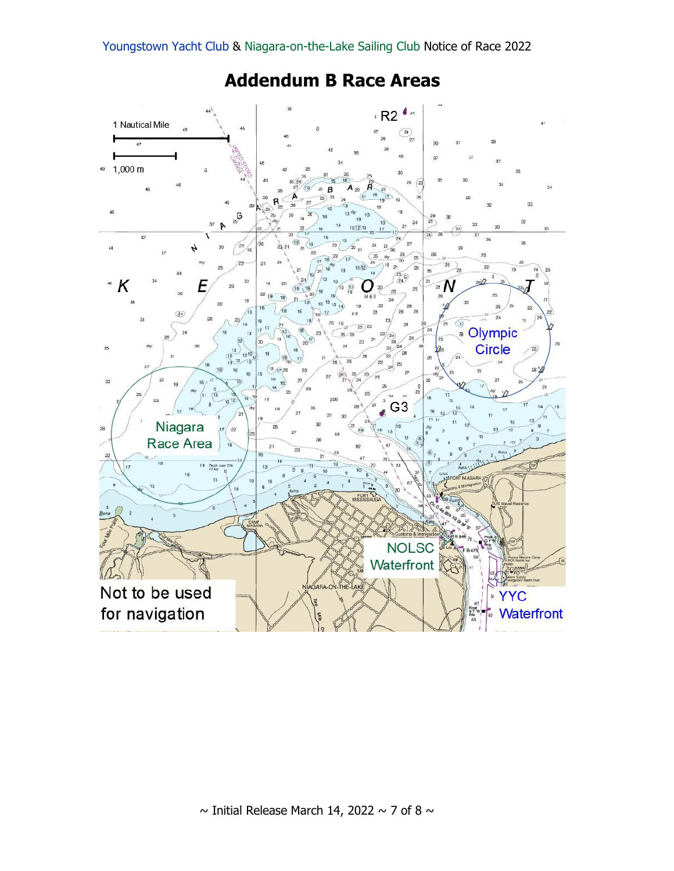

# **Addendum B Race Areas**